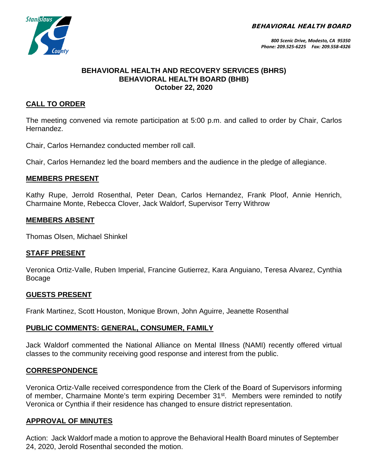BEHAVIORAL HEALTH BOARD



### **BEHAVIORAL HEALTH AND RECOVERY SERVICES (BHRS) BEHAVIORAL HEALTH BOARD (BHB) October 22, 2020**

# **CALL TO ORDER**

The meeting convened via remote participation at 5:00 p.m. and called to order by Chair, Carlos Hernandez.

Chair, Carlos Hernandez conducted member roll call.

Chair, Carlos Hernandez led the board members and the audience in the pledge of allegiance.

### **MEMBERS PRESENT**

Kathy Rupe, Jerrold Rosenthal, Peter Dean, Carlos Hernandez, Frank Ploof, Annie Henrich, Charmaine Monte, Rebecca Clover, Jack Waldorf, Supervisor Terry Withrow

### **MEMBERS ABSENT**

Thomas Olsen, Michael Shinkel

### **STAFF PRESENT**

Veronica Ortiz-Valle, Ruben Imperial, Francine Gutierrez, Kara Anguiano, Teresa Alvarez, Cynthia Bocage

### **GUESTS PRESENT**

Frank Martinez, Scott Houston, Monique Brown, John Aguirre, Jeanette Rosenthal

### **PUBLIC COMMENTS: GENERAL, CONSUMER, FAMILY**

Jack Waldorf commented the National Alliance on Mental Illness (NAMI) recently offered virtual classes to the community receiving good response and interest from the public.

## **CORRESPONDENCE**

Veronica Ortiz-Valle received correspondence from the Clerk of the Board of Supervisors informing of member, Charmaine Monte's term expiring December 31<sup>st</sup>. Members were reminded to notify Veronica or Cynthia if their residence has changed to ensure district representation.

## **APPROVAL OF MINUTES**

Action: Jack Waldorf made a motion to approve the Behavioral Health Board minutes of September 24, 2020, Jerold Rosenthal seconded the motion.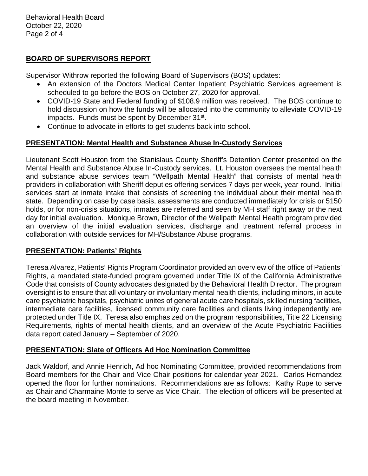Behavioral Health Board October 22, 2020 Page 2 of 4

## **BOARD OF SUPERVISORS REPORT**

Supervisor Withrow reported the following Board of Supervisors (BOS) updates:

- An extension of the Doctors Medical Center Inpatient Psychiatric Services agreement is scheduled to go before the BOS on October 27, 2020 for approval.
- COVID-19 State and Federal funding of \$108.9 million was received. The BOS continue to hold discussion on how the funds will be allocated into the community to alleviate COVID-19 impacts. Funds must be spent by December 31st.
- Continue to advocate in efforts to get students back into school.

# **PRESENTATION: Mental Health and Substance Abuse In-Custody Services**

Lieutenant Scott Houston from the Stanislaus County Sheriff's Detention Center presented on the Mental Health and Substance Abuse In-Custody services. Lt. Houston oversees the mental health and substance abuse services team "Wellpath Mental Health" that consists of mental health providers in collaboration with Sheriff deputies offering services 7 days per week, year-round. Initial services start at inmate intake that consists of screening the individual about their mental health state. Depending on case by case basis, assessments are conducted immediately for crisis or 5150 holds, or for non-crisis situations, inmates are referred and seen by MH staff right away or the next day for initial evaluation. Monique Brown, Director of the Wellpath Mental Health program provided an overview of the initial evaluation services, discharge and treatment referral process in collaboration with outside services for MH/Substance Abuse programs.

## **PRESENTATION: Patients' Rights**

Teresa Alvarez, Patients' Rights Program Coordinator provided an overview of the office of Patients' Rights, a mandated state-funded program governed under Title IX of the California Administrative Code that consists of County advocates designated by the Behavioral Health Director. The program oversight is to ensure that all voluntary or involuntary mental health clients, including minors, in acute care psychiatric hospitals, psychiatric unites of general acute care hospitals, skilled nursing facilities, intermediate care facilities, licensed community care facilities and clients living independently are protected under Title IX. Teresa also emphasized on the program responsibilities, Title 22 Licensing Requirements, rights of mental health clients, and an overview of the Acute Psychiatric Facilities data report dated January – September of 2020.

## **PRESENTATION: Slate of Officers Ad Hoc Nomination Committee**

Jack Waldorf, and Annie Henrich, Ad hoc Nominating Committee, provided recommendations from Board members for the Chair and Vice Chair positions for calendar year 2021. Carlos Hernandez opened the floor for further nominations. Recommendations are as follows: Kathy Rupe to serve as Chair and Charmaine Monte to serve as Vice Chair. The election of officers will be presented at the board meeting in November.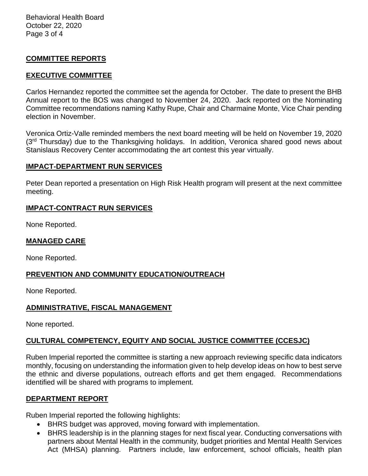Behavioral Health Board October 22, 2020 Page 3 of 4

### **COMMITTEE REPORTS**

### **EXECUTIVE COMMITTEE**

Carlos Hernandez reported the committee set the agenda for October. The date to present the BHB Annual report to the BOS was changed to November 24, 2020. Jack reported on the Nominating Committee recommendations naming Kathy Rupe, Chair and Charmaine Monte, Vice Chair pending election in November.

Veronica Ortiz-Valle reminded members the next board meeting will be held on November 19, 2020  $(3<sup>rd</sup>$  Thursday) due to the Thanksgiving holidays. In addition, Veronica shared good news about Stanislaus Recovery Center accommodating the art contest this year virtually.

### **IMPACT-DEPARTMENT RUN SERVICES**

Peter Dean reported a presentation on High Risk Health program will present at the next committee meeting.

### **IMPACT-CONTRACT RUN SERVICES**

None Reported.

#### **MANAGED CARE**

None Reported.

### **PREVENTION AND COMMUNITY EDUCATION/OUTREACH**

None Reported.

### **ADMINISTRATIVE, FISCAL MANAGEMENT**

None reported.

## **CULTURAL COMPETENCY, EQUITY AND SOCIAL JUSTICE COMMITTEE (CCESJC)**

Ruben Imperial reported the committee is starting a new approach reviewing specific data indicators monthly, focusing on understanding the information given to help develop ideas on how to best serve the ethnic and diverse populations, outreach efforts and get them engaged. Recommendations identified will be shared with programs to implement.

### **DEPARTMENT REPORT**

Ruben Imperial reported the following highlights:

- BHRS budget was approved, moving forward with implementation.
- BHRS leadership is in the planning stages for next fiscal year. Conducting conversations with partners about Mental Health in the community, budget priorities and Mental Health Services Act (MHSA) planning. Partners include, law enforcement, school officials, health plan